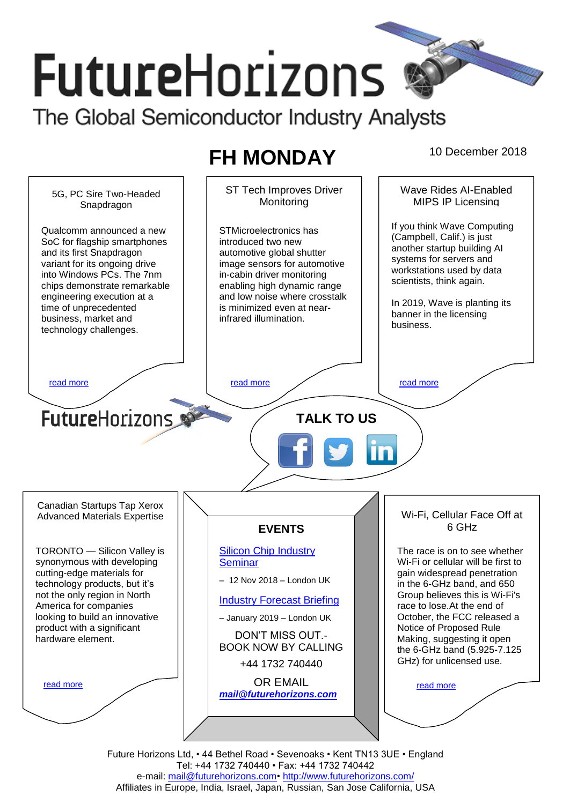# **FutureHorizons** The Global Semiconductor Industry Analysts

# <span id="page-0-0"></span>**FH MONDAY** 10 December 2018



Tel: +44 1732 740440 • Fax: +44 1732 740442 e-mail: mail@futurehorizons.com• http://www.futurehorizons.com/ Affiliates in Europe, India, Israel, Japan, Russian, San Jose California, USA